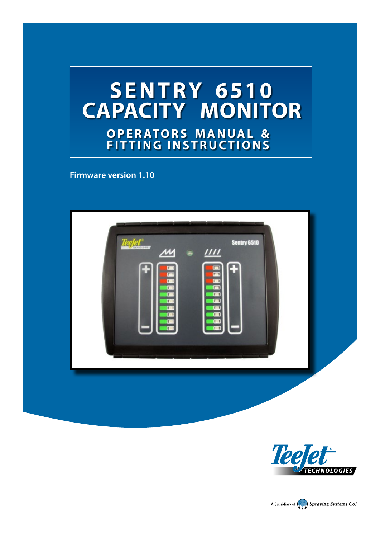

**Firmware version 1.10**





A Subsidiary of **No. 3 Spraying Systems Co.**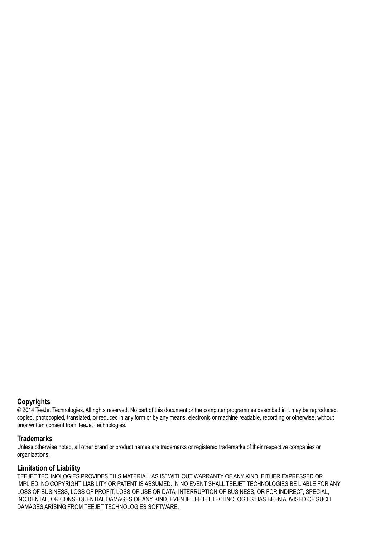#### **Copyrights**

© 2014 TeeJet Technologies. All rights reserved. No part of this document or the computer programmes described in it may be reproduced, copied, photocopied, translated, or reduced in any form or by any means, electronic or machine readable, recording or otherwise, without prior written consent from TeeJet Technologies.

#### **Trademarks**

Unless otherwise noted, all other brand or product names are trademarks or registered trademarks of their respective companies or organizations.

#### **Limitation of Liability**

TEEJET TECHNOLOGIES PROVIDES THIS MATERIAL "AS IS" WITHOUT WARRANTY OF ANY KIND, EITHER EXPRESSED OR IMPLIED. NO COPYRIGHT LIABILITY OR PATENT IS ASSUMED. IN NO EVENT SHALL TEEJET TECHNOLOGIES BE LIABLE FOR ANY LOSS OF BUSINESS, LOSS OF PROFIT, LOSS OF USE OR DATA, INTERRUPTION OF BUSINESS, OR FOR INDIRECT, SPECIAL, INCIDENTAL, OR CONSEQUENTIAL DAMAGES OF ANY KIND, EVEN IF TEEJET TECHNOLOGIES HAS BEEN ADVISED OF SUCH DAMAGES ARISING FROM TEEJET TECHNOLOGIES SOFTWARE.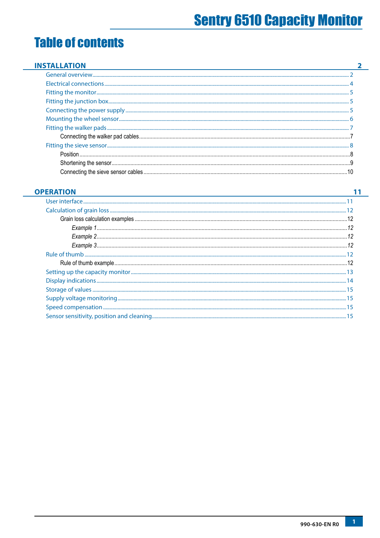## **Table of contents**

#### **OPERATION**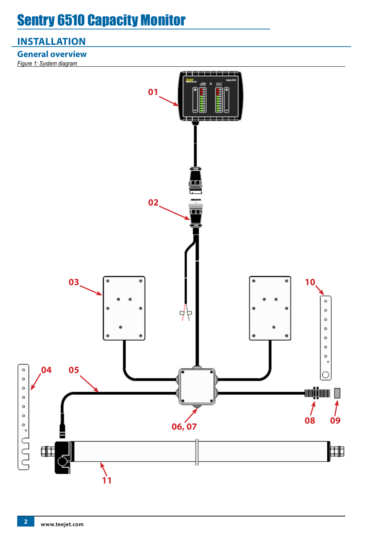## <span id="page-3-0"></span>**INSTALLATION**

**General overview**

*Figure 1: System diagram*

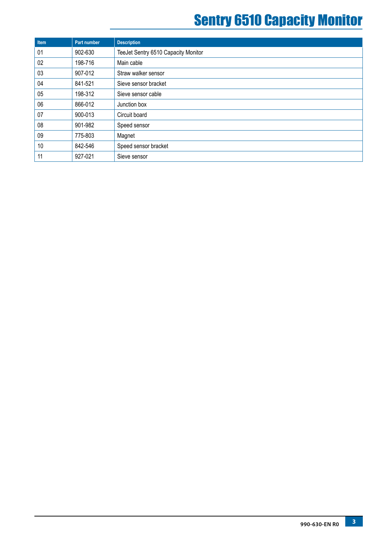| Item | Part number | <b>Description</b>                  |
|------|-------------|-------------------------------------|
| 01   | 902-630     | TeeJet Sentry 6510 Capacity Monitor |
| 02   | 198-716     | Main cable                          |
| 03   | 907-012     | Straw walker sensor                 |
| 04   | 841-521     | Sieve sensor bracket                |
| 05   | 198-312     | Sieve sensor cable                  |
| 06   | 866-012     | Junction box                        |
| 07   | 900-013     | Circuit board                       |
| 08   | 901-982     | Speed sensor                        |
| 09   | 775-803     | Magnet                              |
| 10   | 842-546     | Speed sensor bracket                |
| 11   | 927-021     | Sieve sensor                        |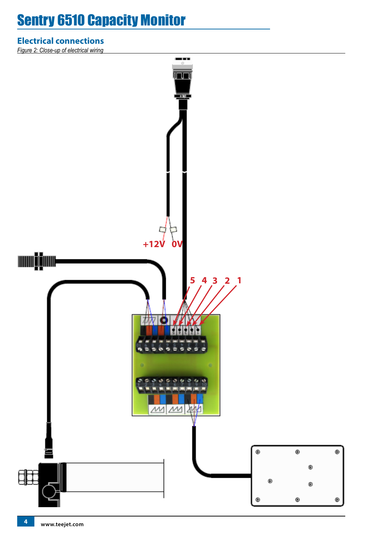## <span id="page-5-0"></span>**Electrical connections**

*Figure 2: Close-up of electrical wiring*

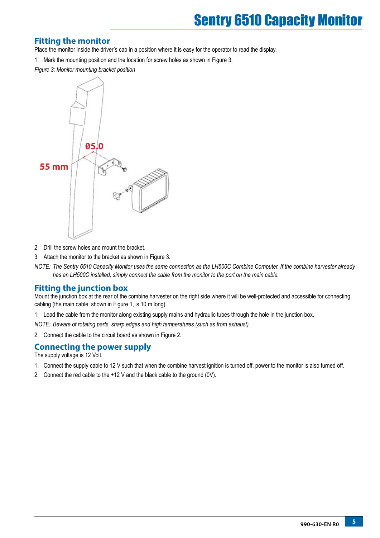### <span id="page-6-0"></span>**Fitting the monitor**

Place the monitor inside the driver's cab in a position where it is easy for the operator to read the display.

1. Mark the mounting position and the location for screw holes as shown in Figure 3.

*Figure 3: Monitor mounting bracket position*



- 2. Drill the screw holes and mount the bracket.
- 3. Attach the monitor to the bracket as shown in Figure 3.
- *NOTE: The Sentry 6510 Capacity Monitor uses the same connection as the LH500C Combine Computer. If the combine harvester already has an LH500C installed, simply connect the cable from the monitor to the port on the main cable.*

### **Fitting the junction box**

Mount the junction box at the rear of the combine harvester on the right side where it will be well-protected and accessible for connecting cabling (the main cable, shown in Figure 1, is 10 m long).

1. Lead the cable from the monitor along existing supply mains and hydraulic tubes through the hole in the junction box.

*NOTE: Beware of rotating parts, sharp edges and high temperatures (such as from exhaust).* 

2. Connect the cable to the circuit board as shown in Figure 2.

### **Connecting the power supply**

The supply voltage is 12 Volt.

- 1. Connect the supply cable to 12 V such that when the combine harvest ignition is turned off, power to the monitor is also turned off.
- 2. Connect the red cable to the +12 V and the black cable to the ground (0V).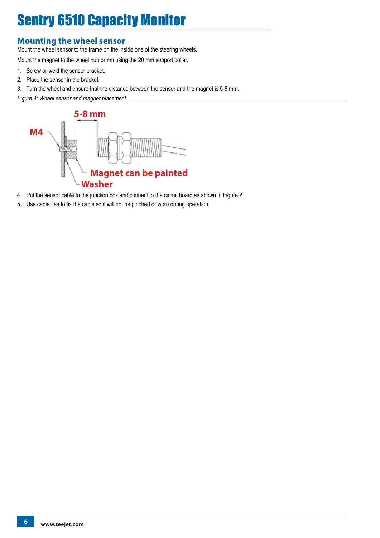### <span id="page-7-0"></span>**Mounting the wheel sensor**

Mount the wheel sensor to the frame on the inside one of the steering wheels.

Mount the magnet to the wheel hub or rim using the 20 mm support collar.

- 1. Screw or weld the sensor bracket.
- 2. Place the sensor in the bracket.
- 3. Turn the wheel and ensure that the distance between the sensor and the magnet is 5-8 mm.
- *Figure 4: Wheel sensor and magnet placement*



- 4. Put the sensor cable to the junction box and connect to the circuit board as shown in Figure 2.
- 5. Use cable ties to fix the cable so it will not be pinched or worn during operation.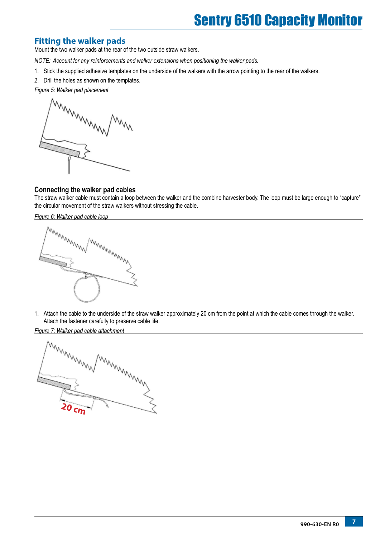### <span id="page-8-0"></span>**Fitting the walker pads**

Mount the two walker pads at the rear of the two outside straw walkers.

- *NOTE: Account for any reinforcements and walker extensions when positioning the walker pads.*
- 1. Stick the supplied adhesive templates on the underside of the walkers with the arrow pointing to the rear of the walkers.
- 2. Drill the holes as shown on the templates.

*Figure 5: Walker pad placement*



#### **Connecting the walker pad cables**

The straw walker cable must contain a loop between the walker and the combine harvester body. The loop must be large enough to "capture" the circular movement of the straw walkers without stressing the cable.

*Figure 6: Walker pad cable loop*



1. Attach the cable to the underside of the straw walker approximately 20 cm from the point at which the cable comes through the walker. Attach the fastener carefully to preserve cable life.

*Figure 7: Walker pad cable attachment*

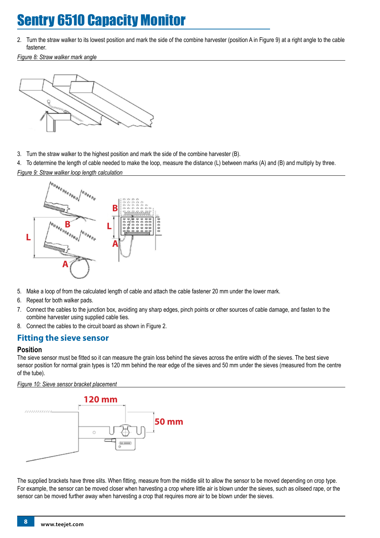<span id="page-9-0"></span>2. Turn the straw walker to its lowest position and mark the side of the combine harvester (position A in Figure 9) at a right angle to the cable fastener.

*Figure 8: Straw walker mark angle*



3. Turn the straw walker to the highest position and mark the side of the combine harvester (B).

4. To determine the length of cable needed to make the loop, measure the distance (L) between marks (A) and (B) and multiply by three. *Figure 9: Straw walker loop length calculation*



- 5. Make a loop of from the calculated length of cable and attach the cable fastener 20 mm under the lower mark.
- 6. Repeat for both walker pads.
- 7. Connect the cables to the junction box, avoiding any sharp edges, pinch points or other sources of cable damage, and fasten to the combine harvester using supplied cable ties.
- 8. Connect the cables to the circuit board as shown in Figure 2.

### **Fitting the sieve sensor**

#### **Position**

The sieve sensor must be fitted so it can measure the grain loss behind the sieves across the entire width of the sieves. The best sieve sensor position for normal grain types is 120 mm behind the rear edge of the sieves and 50 mm under the sieves (measured from the centre of the tube).

#### *Figure 10: Sieve sensor bracket placement*



The supplied brackets have three slits. When fitting, measure from the middle slit to allow the sensor to be moved depending on crop type. For example, the sensor can be moved closer when harvesting a crop where little air is blown under the sieves, such as oilseed rape, or the sensor can be moved further away when harvesting a crop that requires more air to be blown under the sieves.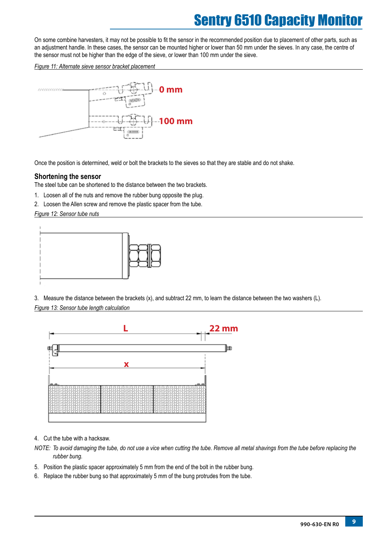<span id="page-10-0"></span>On some combine harvesters, it may not be possible to fit the sensor in the recommended position due to placement of other parts, such as an adjustment handle. In these cases, the sensor can be mounted higher or lower than 50 mm under the sieves. In any case, the centre of the sensor must not be higher than the edge of the sieve, or lower than 100 mm under the sieve.

*Figure 11: Alternate sieve sensor bracket placement*



Once the position is determined, weld or bolt the brackets to the sieves so that they are stable and do not shake.

#### **Shortening the sensor**

The steel tube can be shortened to the distance between the two brackets.

- 1. Loosen all of the nuts and remove the rubber bung opposite the plug.
- 2. Loosen the Allen screw and remove the plastic spacer from the tube.

#### *Figure 12: Sensor tube nuts*



3. Measure the distance between the brackets (x), and subtract 22 mm, to learn the distance between the two washers (L). *Figure 13: Sensor tube length calculation*



- 4. Cut the tube with a hacksaw.
- *NOTE: To avoid damaging the tube, do not use a vice when cutting the tube. Remove all metal shavings from the tube before replacing the rubber bung.*
- 5. Position the plastic spacer approximately 5 mm from the end of the bolt in the rubber bung.
- 6. Replace the rubber bung so that approximately 5 mm of the bung protrudes from the tube.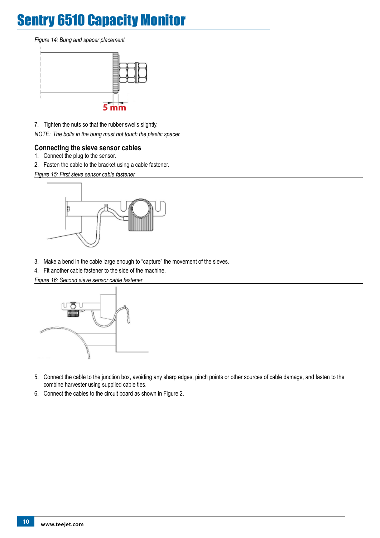#### <span id="page-11-0"></span>*Figure 14: Bung and spacer placement*



7. Tighten the nuts so that the rubber swells slightly.

*NOTE: The bolts in the bung must not touch the plastic spacer.* 

#### **Connecting the sieve sensor cables**

- 1. Connect the plug to the sensor.
- 2. Fasten the cable to the bracket using a cable fastener.

*Figure 15: First sieve sensor cable fastener*



- 3. Make a bend in the cable large enough to "capture" the movement of the sieves.
- 4. Fit another cable fastener to the side of the machine.

*Figure 16: Second sieve sensor cable fastener*



- 5. Connect the cable to the junction box, avoiding any sharp edges, pinch points or other sources of cable damage, and fasten to the combine harvester using supplied cable ties.
- 6. Connect the cables to the circuit board as shown in Figure 2.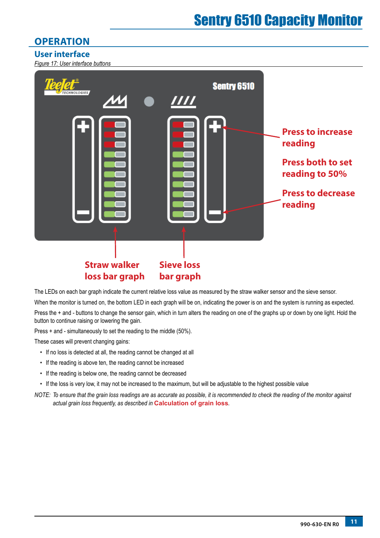## <span id="page-12-0"></span>**OPERATION**

### **User interface**

*Figure 17: User interface buttons*



The LEDs on each bar graph indicate the current relative loss value as measured by the straw walker sensor and the sieve sensor.

When the monitor is turned on, the bottom LED in each graph will be on, indicating the power is on and the system is running as expected. Press the + and - buttons to change the sensor gain, which in turn alters the reading on one of the graphs up or down by one light. Hold the button to continue raising or lowering the gain.

Press + and - simultaneously to set the reading to the middle (50%).

These cases will prevent changing gains:

- If no loss is detected at all, the reading cannot be changed at all
- If the reading is above ten, the reading cannot be increased
- If the reading is below one, the reading cannot be decreased
- If the loss is very low, it may not be increased to the maximum, but will be adjustable to the highest possible value
- *NOTE: To ensure that the grain loss readings are as accurate as possible, it is recommended to check the reading of the monitor against actual grain loss frequently, as described in* **Calculation of grain loss***.*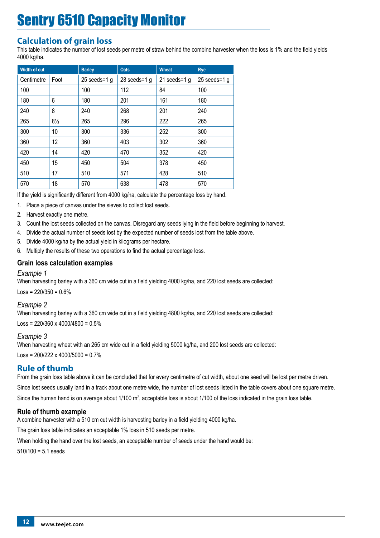## <span id="page-13-0"></span>**Calculation of grain loss**

This table indicates the number of lost seeds per metre of straw behind the combine harvester when the loss is 1% and the field yields 4000 kg/ha.

| <b>Width of cut</b> |                | <b>Barley</b>   | <b>Oats</b>     | <b>Wheat</b>    | <b>Rye</b>      |
|---------------------|----------------|-----------------|-----------------|-----------------|-----------------|
| Centimetre          | Foot           | 25 seeds= $1 g$ | 28 seeds= $1$ g | 21 seeds= $1 g$ | 25 seeds= $1$ g |
| 100                 |                | 100             | 112             | 84              | 100             |
| 180                 | 6              | 180             | 201             | 161             | 180             |
| 240                 | 8              | 240             | 268             | 201             | 240             |
| 265                 | $8\frac{1}{2}$ | 265             | 296             | 222             | 265             |
| 300                 | 10             | 300             | 336             | 252             | 300             |
| 360                 | 12             | 360             | 403             | 302             | 360             |
| 420                 | 14             | 420             | 470             | 352             | 420             |
| 450                 | 15             | 450             | 504             | 378             | 450             |
| 510                 | 17             | 510             | 571             | 428             | 510             |
| 570                 | 18             | 570             | 638             | 478             | 570             |

If the yield is significantly different from 4000 kg/ha, calculate the percentage loss by hand.

- 1. Place a piece of canvas under the sieves to collect lost seeds.
- 2. Harvest exactly one metre.
- 3. Count the lost seeds collected on the canvas. Disregard any seeds lying in the field before beginning to harvest.
- 4. Divide the actual number of seeds lost by the expected number of seeds lost from the table above.
- 5. Divide 4000 kg/ha by the actual yield in kilograms per hectare.
- 6. Multiply the results of these two operations to find the actual percentage loss.

### **Grain loss calculation examples**

#### *Example 1*

When harvesting barley with a 360 cm wide cut in a field yielding 4000 kg/ha, and 220 lost seeds are collected:  $Loss = 220/350 = 0.6%$ 

#### *Example 2*

When harvesting barley with a 360 cm wide cut in a field yielding 4800 kg/ha, and 220 lost seeds are collected: Loss =  $220/360 \times 4000/4800 = 0.5\%$ 

#### *Example 3*

When harvesting wheat with an 265 cm wide cut in a field yielding 5000 kg/ha, and 200 lost seeds are collected:  $\text{Loss} = 200/222 \times 4000/5000 = 0.7\%$ 

### **Rule of thumb**

From the grain loss table above it can be concluded that for every centimetre of cut width, about one seed will be lost per metre driven.

Since lost seeds usually land in a track about one metre wide, the number of lost seeds listed in the table covers about one square metre. Since the human hand is on average about 1/100 m<sup>2</sup>, acceptable loss is about 1/100 of the loss indicated in the grain loss table.

### **Rule of thumb example**

A combine harvester with a 510 cm cut width is harvesting barley in a field yielding 4000 kg/ha.

The grain loss table indicates an acceptable 1% loss in 510 seeds per metre.

When holding the hand over the lost seeds, an acceptable number of seeds under the hand would be:

 $510/100 = 5.1$  seeds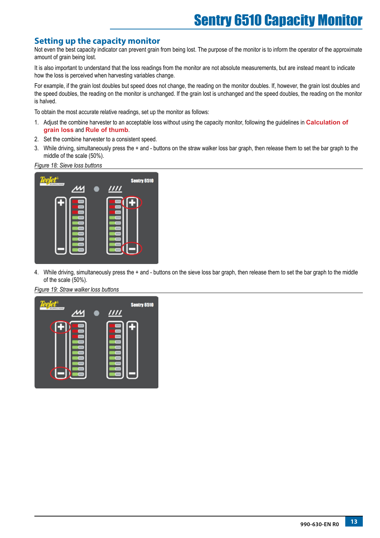### <span id="page-14-0"></span>**Setting up the capacity monitor**

Not even the best capacity indicator can prevent grain from being lost. The purpose of the monitor is to inform the operator of the approximate amount of grain being lost.

It is also important to understand that the loss readings from the monitor are not absolute measurements, but are instead meant to indicate how the loss is perceived when harvesting variables change.

For example, if the grain lost doubles but speed does not change, the reading on the monitor doubles. If, however, the grain lost doubles and the speed doubles, the reading on the monitor is unchanged. If the grain lost is unchanged and the speed doubles, the reading on the monitor is halved.

To obtain the most accurate relative readings, set up the monitor as follows:

- 1. Adjust the combine harvester to an acceptable loss without using the capacity monitor, following the guidelines in **Calculation of grain loss** and **Rule of thumb**.
- 2. Set the combine harvester to a consistent speed.
- 3. While driving, simultaneously press the + and buttons on the straw walker loss bar graph, then release them to set the bar graph to the middle of the scale (50%).

*Figure 18: Sieve loss buttons*



4. While driving, simultaneously press the + and - buttons on the sieve loss bar graph, then release them to set the bar graph to the middle of the scale (50%).

*Figure 19: Straw walker loss buttons*

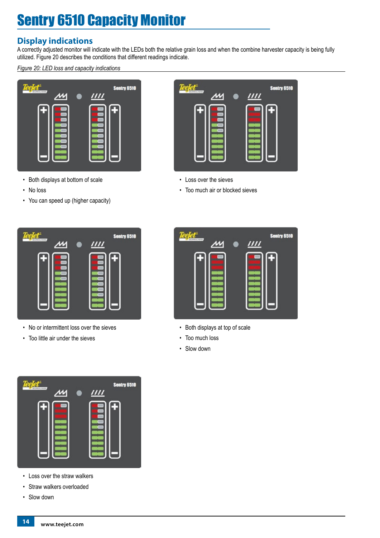## <span id="page-15-0"></span>**Display indications**

A correctly adjusted monitor will indicate with the LEDs both the relative grain loss and when the combine harvester capacity is being fully utilized. Figure 20 describes the conditions that different readings indicate.

*Figure 20: LED loss and capacity indications*



- Both displays at bottom of scale
- No loss
- You can speed up (higher capacity)



- No or intermittent loss over the sieves
- Too little air under the sieves



- Loss over the straw walkers
- Straw walkers overloaded
- Slow down



- Loss over the sieves
- Too much air or blocked sieves



- Both displays at top of scale
- Too much loss
- Slow down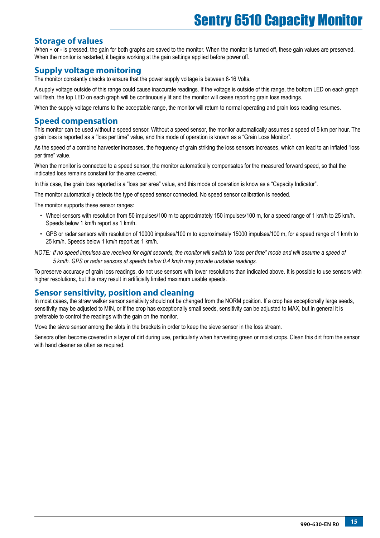### <span id="page-16-0"></span>**Storage of values**

When + or - is pressed, the gain for both graphs are saved to the monitor. When the monitor is turned off, these gain values are preserved. When the monitor is restarted, it begins working at the gain settings applied before power off.

### **Supply voltage monitoring**

The monitor constantly checks to ensure that the power supply voltage is between 8-16 Volts.

A supply voltage outside of this range could cause inaccurate readings. If the voltage is outside of this range, the bottom LED on each graph will flash, the top LED on each graph will be continuously lit and the monitor will cease reporting grain loss readings.

When the supply voltage returns to the acceptable range, the monitor will return to normal operating and grain loss reading resumes.

### **Speed compensation**

This monitor can be used without a speed sensor. Without a speed sensor, the monitor automatically assumes a speed of 5 km per hour. The grain loss is reported as a "loss per time" value, and this mode of operation is known as a "Grain Loss Monitor".

As the speed of a combine harvester increases, the frequency of grain striking the loss sensors increases, which can lead to an inflated "loss per time" value.

When the monitor is connected to a speed sensor, the monitor automatically compensates for the measured forward speed, so that the indicated loss remains constant for the area covered.

In this case, the grain loss reported is a "loss per area" value, and this mode of operation is know as a "Capacity Indicator".

The monitor automatically detects the type of speed sensor connected. No speed sensor calibration is needed.

The monitor supports these sensor ranges:

- Wheel sensors with resolution from 50 impulses/100 m to approximately 150 impulses/100 m, for a speed range of 1 km/h to 25 km/h. Speeds below 1 km/h report as 1 km/h.
- GPS or radar sensors with resolution of 10000 impulses/100 m to approximately 15000 impulses/100 m, for a speed range of 1 km/h to 25 km/h. Speeds below 1 km/h report as 1 km/h.
- *NOTE: If no speed impulses are received for eight seconds, the monitor will switch to "loss per time" mode and will assume a speed of 5 km/h. GPS or radar sensors at speeds below 0.4 km/h may provide unstable readings.*

To preserve accuracy of grain loss readings, do not use sensors with lower resolutions than indicated above. It is possible to use sensors with higher resolutions, but this may result in artificially limited maximum usable speeds.

### **Sensor sensitivity, position and cleaning**

In most cases, the straw walker sensor sensitivity should not be changed from the NORM position. If a crop has exceptionally large seeds, sensitivity may be adjusted to MIN, or if the crop has exceptionally small seeds, sensitivity can be adjusted to MAX, but in general it is preferable to control the readings with the gain on the monitor.

Move the sieve sensor among the slots in the brackets in order to keep the sieve sensor in the loss stream.

Sensors often become covered in a layer of dirt during use, particularly when harvesting green or moist crops. Clean this dirt from the sensor with hand cleaner as often as required.